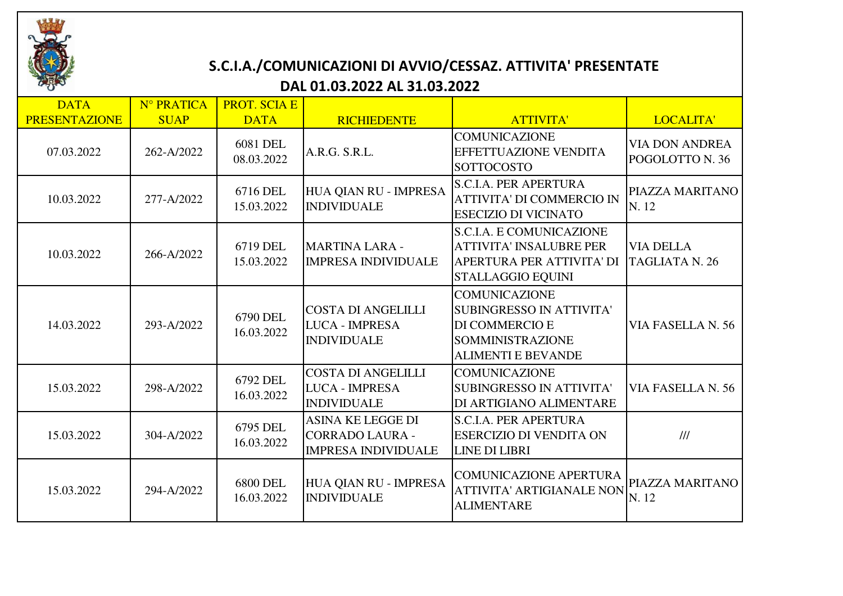

## **S.C.I.A./COMUNICAZIONI DI AVVIO/CESSAZ. ATTIVITA' PRESENTATE**

## **DAL 01.03.2022 AL 31.03.2022**

| <b>DATA</b><br><b>PRESENTAZIONE</b> | N° PRATICA<br><b>SUAP</b> | <b>PROT. SCIA E</b><br><b>DATA</b> | <b>RICHIEDENTE</b>                                                               | <b>ATTIVITA'</b>                                                                                                                  | LOCALITA'                                 |
|-------------------------------------|---------------------------|------------------------------------|----------------------------------------------------------------------------------|-----------------------------------------------------------------------------------------------------------------------------------|-------------------------------------------|
| 07.03.2022                          | 262-A/2022                | <b>6081 DEL</b><br>08.03.2022      | A.R.G. S.R.L.                                                                    | <b>COMUNICAZIONE</b><br>EFFETTUAZIONE VENDITA<br><b>SOTTOCOSTO</b>                                                                | <b>VIA DON ANDREA</b><br>POGOLOTTO N. 36  |
| 10.03.2022                          | 277-A/2022                | 6716 DEL<br>15.03.2022             | HUA QIAN RU - IMPRESA<br><b>INDIVIDUALE</b>                                      | <b>S.C.I.A. PER APERTURA</b><br><b>ATTIVITA' DI COMMERCIO IN</b><br><b>ESECIZIO DI VICINATO</b>                                   | PIAZZA MARITANO<br>N. 12                  |
| 10.03.2022                          | 266-A/2022                | 6719 DEL<br>15.03.2022             | <b>MARTINA LARA -</b><br><b>IMPRESA INDIVIDUALE</b>                              | <b>S.C.I.A. E COMUNICAZIONE</b><br><b>ATTIVITA' INSALUBRE PER</b><br>APERTURA PER ATTIVITA' DI<br>STALLAGGIO EQUINI               | <b>VIA DELLA</b><br><b>TAGLIATA N. 26</b> |
| 14.03.2022                          | 293-A/2022                | 6790 DEL<br>16.03.2022             | <b>COSTA DI ANGELILLI</b><br><b>LUCA - IMPRESA</b><br><b>INDIVIDUALE</b>         | <b>COMUNICAZIONE</b><br><b>SUBINGRESSO IN ATTIVITA'</b><br>DI COMMERCIO E<br><b>SOMMINISTRAZIONE</b><br><b>ALIMENTI E BEVANDE</b> | VIA FASELLA N. 56                         |
| 15.03.2022                          | 298-A/2022                | 6792 DEL<br>16.03.2022             | <b>COSTA DI ANGELILLI</b><br><b>LUCA - IMPRESA</b><br><b>INDIVIDUALE</b>         | <b>COMUNICAZIONE</b><br><b>SUBINGRESSO IN ATTIVITA'</b><br>DI ARTIGIANO ALIMENTARE                                                | VIA FASELLA N. 56                         |
| 15.03.2022                          | 304-A/2022                | 6795 DEL<br>16.03.2022             | <b>ASINA KE LEGGE DI</b><br><b>CORRADO LAURA -</b><br><b>IMPRESA INDIVIDUALE</b> | <b>S.C.I.A. PER APERTURA</b><br><b>ESERCIZIO DI VENDITA ON</b><br><b>LINE DI LIBRI</b>                                            | III                                       |
| 15.03.2022                          | 294-A/2022                | <b>6800 DEL</b><br>16.03.2022      | HUA QIAN RU - IMPRESA<br><b>INDIVIDUALE</b>                                      | <b>COMUNICAZIONE APERTURA</b><br><b>ATTIVITA' ARTIGIANALE NON</b><br><b>ALIMENTARE</b>                                            | PIAZZA MARITANO<br>N. 12                  |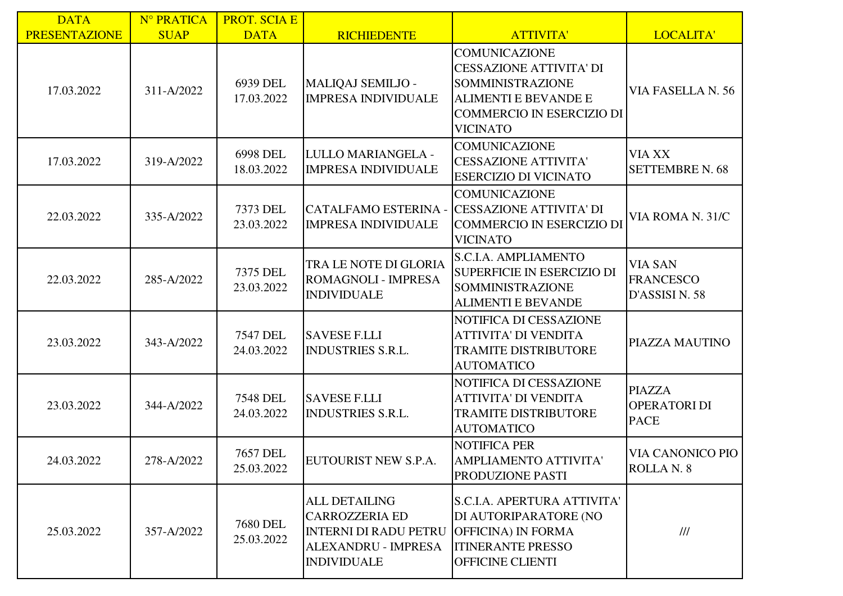| <b>DATA</b>          | N° PRATICA  | <b>PROT. SCIA E</b>           |                                                                                                                            |                                                                                                                                                                  |                                                      |
|----------------------|-------------|-------------------------------|----------------------------------------------------------------------------------------------------------------------------|------------------------------------------------------------------------------------------------------------------------------------------------------------------|------------------------------------------------------|
| <b>PRESENTAZIONE</b> | <b>SUAP</b> | <b>DATA</b>                   | <b>RICHIEDENTE</b>                                                                                                         | <b>ATTIVITA'</b>                                                                                                                                                 | LOCALITA'                                            |
| 17.03.2022           | 311-A/2022  | 6939 DEL<br>17.03.2022        | MALIQAJ SEMILJO -<br><b>IMPRESA INDIVIDUALE</b>                                                                            | <b>COMUNICAZIONE</b><br><b>CESSAZIONE ATTIVITA' DI</b><br>SOMMINISTRAZIONE<br><b>ALIMENTI E BEVANDE E</b><br><b>COMMERCIO IN ESERCIZIO DI</b><br><b>VICINATO</b> | VIA FASELLA N. 56                                    |
| 17.03.2022           | 319-A/2022  | 6998 DEL<br>18.03.2022        | LULLO MARIANGELA -<br><b>IMPRESA INDIVIDUALE</b>                                                                           | <b>COMUNICAZIONE</b><br><b>CESSAZIONE ATTIVITA'</b><br><b>ESERCIZIO DI VICINATO</b>                                                                              | <b>VIA XX</b><br><b>SETTEMBRE N. 68</b>              |
| 22.03.2022           | 335-A/2022  | 7373 DEL<br>23.03.2022        | CATALFAMO ESTERINA -<br><b>IMPRESA INDIVIDUALE</b>                                                                         | <b>COMUNICAZIONE</b><br><b>CESSAZIONE ATTIVITA' DI</b><br><b>COMMERCIO IN ESERCIZIO DI</b><br><b>VICINATO</b>                                                    | VIA ROMA N. 31/C                                     |
| 22.03.2022           | 285-A/2022  | 7375 DEL<br>23.03.2022        | TRA LE NOTE DI GLORIA<br>ROMAGNOLI - IMPRESA<br><b>INDIVIDUALE</b>                                                         | S.C.I.A. AMPLIAMENTO<br>SUPERFICIE IN ESERCIZIO DI<br>SOMMINISTRAZIONE<br><b>ALIMENTI E BEVANDE</b>                                                              | <b>VIA SAN</b><br><b>FRANCESCO</b><br>D'ASSISI N. 58 |
| 23.03.2022           | 343-A/2022  | <b>7547 DEL</b><br>24.03.2022 | <b>SAVESE F.LLI</b><br><b>INDUSTRIES S.R.L.</b>                                                                            | NOTIFICA DI CESSAZIONE<br><b>ATTIVITA' DI VENDITA</b><br><b>TRAMITE DISTRIBUTORE</b><br><b>AUTOMATICO</b>                                                        | PIAZZA MAUTINO                                       |
| 23.03.2022           | 344-A/2022  | <b>7548 DEL</b><br>24.03.2022 | <b>SAVESE F.LLI</b><br><b>INDUSTRIES S.R.L.</b>                                                                            | NOTIFICA DI CESSAZIONE<br><b>ATTIVITA' DI VENDITA</b><br><b>TRAMITE DISTRIBUTORE</b><br><b>AUTOMATICO</b>                                                        | <b>PIAZZA</b><br>OPERATORI DI<br><b>PACE</b>         |
| 24.03.2022           | 278-A/2022  | <b>7657 DEL</b><br>25.03.2022 | EUTOURIST NEW S.P.A.                                                                                                       | <b>NOTIFICA PER</b><br>AMPLIAMENTO ATTIVITA'<br>PRODUZIONE PASTI                                                                                                 | <b>VIA CANONICO PIO</b><br>ROLLA N. 8                |
| 25.03.2022           | 357-A/2022  | 7680 DEL<br>25.03.2022        | <b>ALL DETAILING</b><br><b>CARROZZERIA ED</b><br><b>INTERNI DI RADU PETRU</b><br>ALEXANDRU - IMPRESA<br><b>INDIVIDUALE</b> | <b>S.C.I.A. APERTURA ATTIVITA'</b><br>DI AUTORIPARATORE (NO<br><b>OFFICINA) IN FORMA</b><br><b>ITINERANTE PRESSO</b><br>OFFICINE CLIENTI                         | $\frac{1}{1}$                                        |